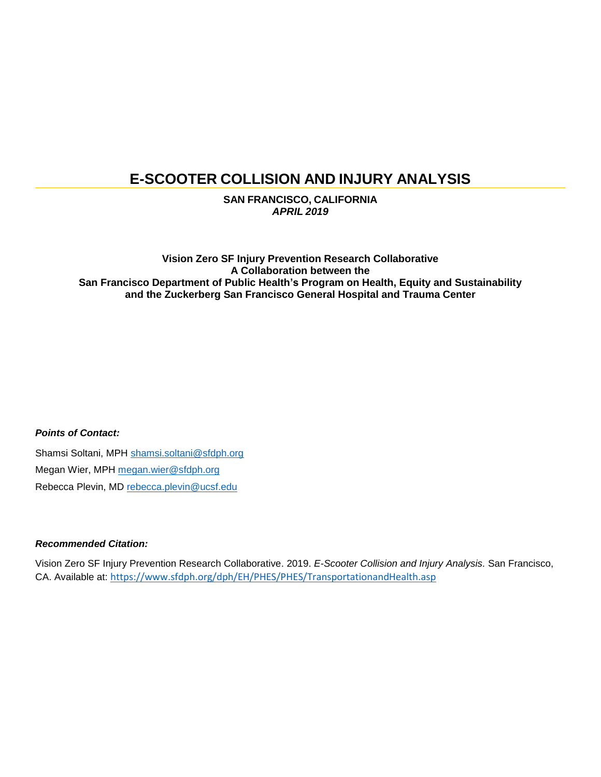# **E-SCOOTER COLLISION AND INJURY ANALYSIS**

**SAN FRANCISCO, CALIFORNIA** *APRIL 2019*

**Vision Zero SF Injury Prevention Research Collaborative A Collaboration between the San Francisco Department of Public Health's Program on Health, Equity and Sustainability and the Zuckerberg San Francisco General Hospital and Trauma Center**

#### *Points of Contact:*

Shamsi Soltani, MPH [shamsi.soltani@sfdph.org](file://///fox-fp01/fox-gis$/Vision%20ZERO/Data/Sharing_Economy/SFMTA%20e-Scooter%20pilot%20evaluation%20-%206%20mos/shamsi.soltani@sfdph.org) Megan Wier, MPH megan.wier@sfdph.org Rebecca Plevin, MD [rebecca.plevin@ucsf.edu](file://///fox-fp01/fox-gis$/Vision%20ZERO/Data/Sharing_Economy/SFMTA%20e-Scooter%20pilot%20evaluation%20-%206%20mos/rebecca.plevin@ucsf.edu)

#### *Recommended Citation:*

Vision Zero SF Injury Prevention Research Collaborative. 2019. *E-Scooter Collision and Injury Analysis.* San Francisco, CA. Available at: <https://www.sfdph.org/dph/EH/PHES/PHES/TransportationandHealth.asp>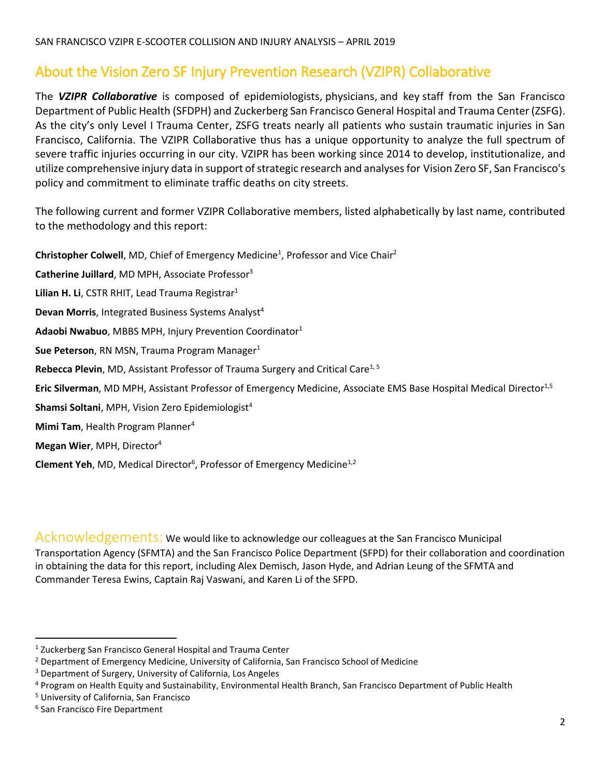# About the Vision Zero SF Injury Prevention Research (VZIPR) Collaborative

The *VZIPR Collaborative* is composed of epidemiologists, physicians, and key staff from the San Francisco Department of Public Health (SFDPH) and [Zuckerberg San Francisco General Hospital and Trauma Center \(ZSFG\).](https://zuckerbergsanfranciscogeneral.org/) As the city's only Level I Trauma Center, ZSFG treats nearly all patients who sustain traumatic injuries in San Francisco, California. The VZIPR Collaborative thus has a unique opportunity to analyze the full spectrum of severe traffic injuries occurring in our city. VZIPR has been working since 2014 to develop, institutionalize, and utilize comprehensive injury data in support of strategic research and analyses for [Vision Zero SF,](http://visionzerosf.org/) San Francisco's policy and commitment to eliminate traffic deaths on city streets.

The following current and former VZIPR Collaborative members, listed alphabetically by last name, contributed to the methodology and this report:

**Christopher Colwell**, MD, Chief of Emergency Medicine<sup>1</sup>, Professor and Vice Chair<sup>2</sup>

**Catherine Juillard**, MD MPH, Associate Professor<sup>3</sup>

Lilian H. Li, CSTR RHIT, Lead Trauma Registrar<sup>1</sup>

**Devan Morris**, Integrated Business Systems Analyst<sup>4</sup>

**Adaobi Nwabuo**, MBBS MPH, Injury Prevention Coordinator<sup>1</sup>

**Sue Peterson**, RN MSN, Trauma Program Manager<sup>1</sup>

**Rebecca Plevin, MD, Assistant Professor of Trauma Surgery and Critical Care<sup>1, 5</sup>** 

**Eric Silverman**, MD MPH, Assistant Professor of Emergency Medicine, Associate EMS Base Hospital Medical Director<sup>1,5</sup>

**Shamsi Soltani**, MPH, Vision Zero Epidemiologist<sup>4</sup>

**Mimi Tam**, Health Program Planner<sup>4</sup>

**Megan Wier**, MPH, Director<sup>4</sup>

**Clement Yeh**, MD, Medical Director<sup>6</sup>, Professor of Emergency Medicine<sup>1,2</sup>

Acknowledgements: We would like to acknowledge our colleagues at the San Francisco Municipal Transportation Agency (SFMTA) and the San Francisco Police Department (SFPD) for their collaboration and coordination in obtaining the data for this report, including Alex Demisch, Jason Hyde, and Adrian Leung of the SFMTA and Commander Teresa Ewins, Captain Raj Vaswani, and Karen Li of the SFPD.

l

<sup>&</sup>lt;sup>1</sup> Zuckerberg San Francisco General Hospital and Trauma Center

<sup>2</sup> Department of Emergency Medicine, University of California, San Francisco School of Medicine

<sup>&</sup>lt;sup>3</sup> Department of Surgery, University of California, Los Angeles

<sup>4</sup> Program on Health Equity and Sustainability, Environmental Health Branch, San Francisco Department of Public Health

<sup>5</sup> University of California, San Francisco

<sup>6</sup> San Francisco Fire Department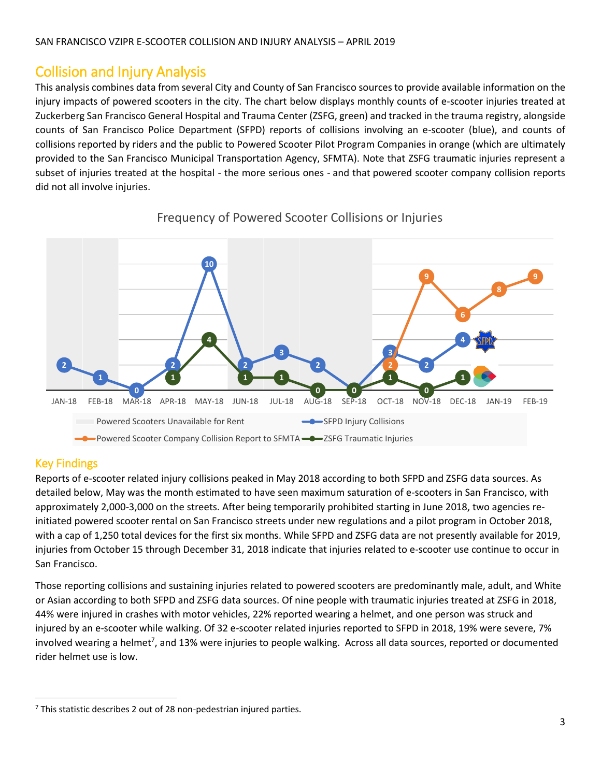# Collision and Injury Analysis

This analysis combines data from several City and County of San Francisco sources to provide available information on the injury impacts of powered scooters in the city. The chart below displays monthly counts of e-scooter injuries treated at Zuckerberg San Francisco General Hospital and Trauma Center (ZSFG, green) and tracked in the trauma registry, alongside counts of San Francisco Police Department (SFPD) reports of collisions involving an e-scooter (blue), and counts of collisions reported by riders and the public to Powered Scooter Pilot Program Companies in orange (which are ultimately provided to the San Francisco Municipal Transportation Agency, SFMTA). Note that ZSFG traumatic injuries represent a subset of injuries treated at the hospital - the more serious ones - and that powered scooter company collision reports did not all involve injuries.



### Frequency of Powered Scooter Collisions or Injuries

### Key Findings

l

Reports of e-scooter related injury collisions peaked in May 2018 according to both SFPD and ZSFG data sources. As detailed below, May was the month estimated to have seen maximum saturation of e-scooters in San Francisco, with approximately 2,000-3,000 on the streets. After being temporarily prohibited starting in June 2018, two agencies reinitiated powered scooter rental on San Francisco streets under new regulations and a pilot program in October 2018, with a cap of 1,250 total devices for the first six months. While SFPD and ZSFG data are not presently available for 2019, injuries from October 15 through December 31, 2018 indicate that injuries related to e-scooter use continue to occur in San Francisco.

Those reporting collisions and sustaining injuries related to powered scooters are predominantly male, adult, and White or Asian according to both SFPD and ZSFG data sources. Of nine people with traumatic injuries treated at ZSFG in 2018, 44% were injured in crashes with motor vehicles, 22% reported wearing a helmet, and one person was struck and injured by an e-scooter while walking. Of 32 e-scooter related injuries reported to SFPD in 2018, 19% were severe, 7% involved wearing a helmet<sup>7</sup>, and 13% were injuries to people walking. Across all data sources, reported or documented rider helmet use is low.

 $7$  This statistic describes 2 out of 28 non-pedestrian injured parties.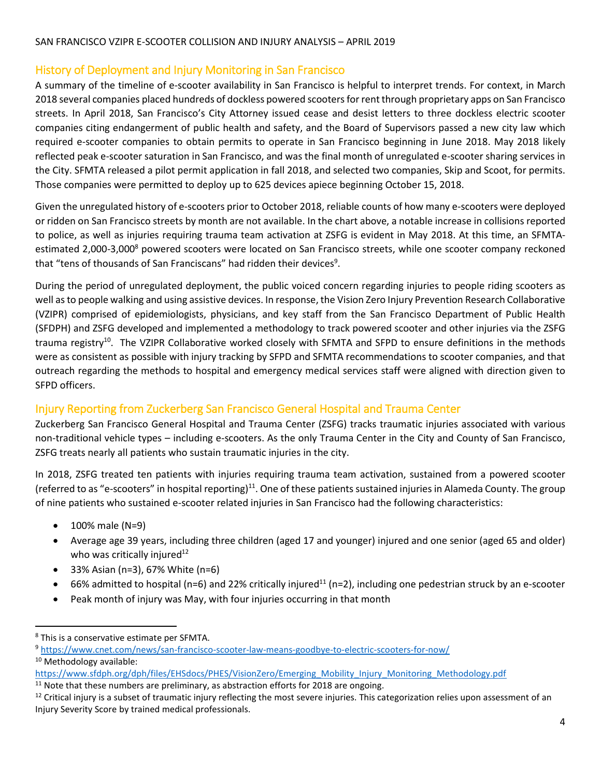## History of Deployment and Injury Monitoring in San Francisco

A summary of the timeline of e-scooter availability in San Francisco is helpful to interpret trends. For context, in March 2018 several companies placed hundreds of dockless powered scootersfor rent through proprietary apps on San Francisco streets. In April 2018, San Francisco's City Attorney issued cease and desist letters to three dockless electric scooter companies citing endangerment of public health and safety, and the Board of Supervisors passed a new city law which required e-scooter companies to obtain permits to operate in San Francisco beginning in June 2018. May 2018 likely reflected peak e-scooter saturation in San Francisco, and was the final month of unregulated e-scooter sharing services in the City. SFMTA released a pilot permit application in fall 2018, and selected two companies, Skip and Scoot, for permits. Those companies were permitted to deploy up to 625 devices apiece beginning October 15, 2018.

Given the unregulated history of e-scooters prior to October 2018, reliable counts of how many e-scooters were deployed or ridden on San Francisco streets by month are not available. In the chart above, a notable increase in collisions reported to police, as well as injuries requiring trauma team activation at ZSFG is evident in May 2018. At this time, an SFMTAestimated 2,000-3,000<sup>8</sup> powered scooters were located on San Francisco streets, while one scooter company reckoned that "tens of thousands of San Franciscans" had ridden their devices<sup>9</sup>.

During the period of unregulated deployment, the public voiced concern regarding injuries to people riding scooters as well as to people walking and using assistive devices. In response, the Vision Zero Injury Prevention Research Collaborative (VZIPR) comprised of epidemiologists, physicians, and key staff from the San Francisco Department of Public Health (SFDPH) and ZSFG developed and implemented a methodology to track powered scooter and other injuries via the ZSFG trauma registry<sup>10</sup>. The VZIPR Collaborative worked closely with SFMTA and SFPD to ensure definitions in the methods were as consistent as possible with injury tracking by SFPD and SFMTA recommendations to scooter companies, and that outreach regarding the methods to hospital and emergency medical services staff were aligned with direction given to SFPD officers.

## Injury Reporting from Zuckerberg San Francisco General Hospital and Trauma Center

Zuckerberg San Francisco General Hospital and Trauma Center (ZSFG) tracks traumatic injuries associated with various non-traditional vehicle types – including e-scooters. As the only Trauma Center in the City and County of San Francisco, ZSFG treats nearly all patients who sustain traumatic injuries in the city.

In 2018, ZSFG treated ten patients with injuries requiring trauma team activation, sustained from a powered scooter (referred to as "e-scooters" in hospital reporting)<sup>11</sup>. One of these patients sustained injuries in Alameda County. The group of nine patients who sustained e-scooter related injuries in San Francisco had the following characteristics:

 $\bullet$  100% male (N=9)

 $\overline{\phantom{a}}$ 

- Average age 39 years, including three children (aged 17 and younger) injured and one senior (aged 65 and older) who was critically injured<sup>12</sup>
- 33% Asian (n=3), 67% White (n=6)
- $\bullet$  66% admitted to hospital (n=6) and 22% critically injured<sup>11</sup> (n=2), including one pedestrian struck by an e-scooter
- Peak month of injury was May, with four injuries occurring in that month

<sup>8</sup> This is a conservative estimate per SFMTA.

<sup>9</sup> <https://www.cnet.com/news/san-francisco-scooter-law-means-goodbye-to-electric-scooters-for-now/> 10 Methodology available:

[https://www.sfdph.org/dph/files/EHSdocs/PHES/VisionZero/Emerging\\_Mobility\\_Injury\\_Monitoring\\_Methodology.pdf](https://www.sfdph.org/dph/files/EHSdocs/PHES/VisionZero/Emerging_Mobility_Injury_Monitoring_Methodology.pdf)

 $11$  Note that these numbers are preliminary, as abstraction efforts for 2018 are ongoing.

 $12$  Critical injury is a subset of traumatic injury reflecting the most severe injuries. This categorization relies upon assessment of an Injury Severity Score by trained medical professionals.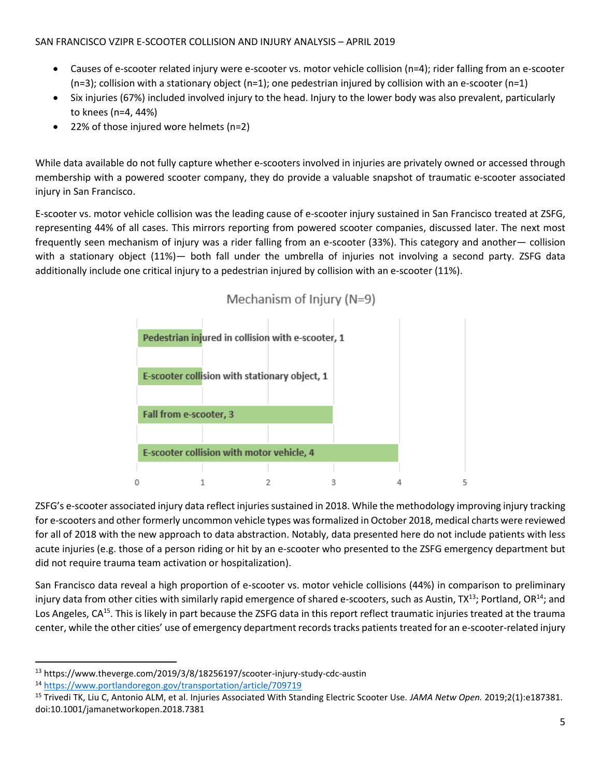- Causes of e-scooter related injury were e-scooter vs. motor vehicle collision (n=4); rider falling from an e-scooter  $(n=3)$ ; collision with a stationary object  $(n=1)$ ; one pedestrian injured by collision with an e-scooter  $(n=1)$
- Six injuries (67%) included involved injury to the head. Injury to the lower body was also prevalent, particularly to knees (n=4, 44%)
- 22% of those injured wore helmets (n=2)

While data available do not fully capture whether e-scooters involved in injuries are privately owned or accessed through membership with a powered scooter company, they do provide a valuable snapshot of traumatic e-scooter associated injury in San Francisco.

E-scooter vs. motor vehicle collision was the leading cause of e-scooter injury sustained in San Francisco treated at ZSFG, representing 44% of all cases. This mirrors reporting from powered scooter companies, discussed later. The next most frequently seen mechanism of injury was a rider falling from an e-scooter (33%). This category and another— collision with a stationary object (11%)— both fall under the umbrella of injuries not involving a second party. ZSFG data additionally include one critical injury to a pedestrian injured by collision with an e-scooter (11%).



# Mechanism of Injury (N=9)

ZSFG's e-scooter associated injury data reflect injuries sustained in 2018. While the methodology improving injury tracking for e-scooters and other formerly uncommon vehicle types was formalized in October 2018, medical charts were reviewed for all of 2018 with the new approach to data abstraction. Notably, data presented here do not include patients with less acute injuries (e.g. those of a person riding or hit by an e-scooter who presented to the ZSFG emergency department but did not require trauma team activation or hospitalization).

San Francisco data reveal a high proportion of e-scooter vs. motor vehicle collisions (44%) in comparison to preliminary injury data from other cities with similarly rapid emergence of shared e-scooters, such as Austin, TX<sup>13</sup>; Portland, OR<sup>14</sup>; and Los Angeles, CA<sup>15</sup>. This is likely in part because the ZSFG data in this report reflect traumatic injuries treated at the trauma center, while the other cities' use of emergency department records tracks patients treated for an e-scooter-related injury

l <sup>13</sup> https://www.theverge.com/2019/3/8/18256197/scooter-injury-study-cdc-austin

<sup>14</sup> <https://www.portlandoregon.gov/transportation/article/709719>

<sup>15</sup> Trivedi TK, Liu C, Antonio ALM, et al. Injuries Associated With Standing Electric Scooter Use. *JAMA Netw Open.* 2019;2(1):e187381. doi:10.1001/jamanetworkopen.2018.7381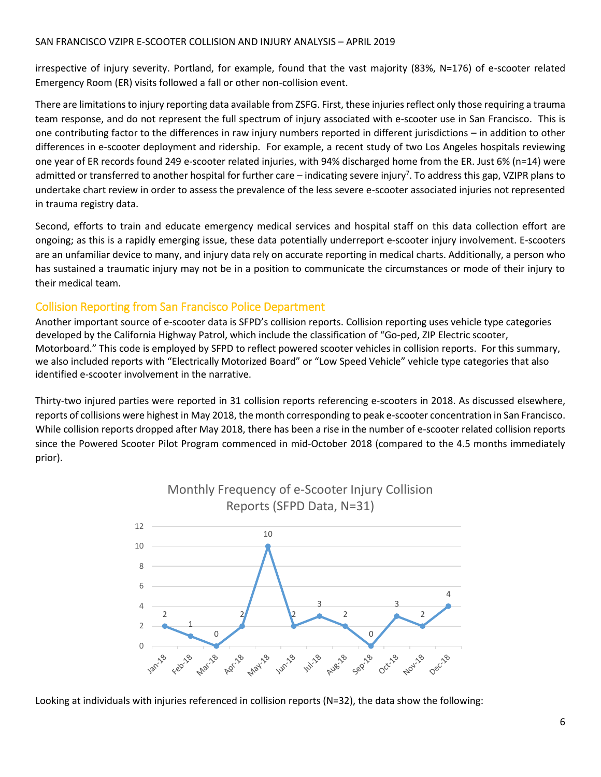#### SAN FRANCISCO VZIPR E-SCOOTER COLLISION AND INJURY ANALYSIS – APRIL 2019

irrespective of injury severity. Portland, for example, found that the vast majority (83%, N=176) of e-scooter related Emergency Room (ER) visits followed a fall or other non-collision event.

There are limitations to injury reporting data available from ZSFG. First, these injuries reflect only those requiring a trauma team response, and do not represent the full spectrum of injury associated with e-scooter use in San Francisco. This is one contributing factor to the differences in raw injury numbers reported in different jurisdictions – in addition to other differences in e-scooter deployment and ridership. For example, a recent study of two Los Angeles hospitals reviewing one year of ER records found 249 e-scooter related injuries, with 94% discharged home from the ER. Just 6% (n=14) were admitted or transferred to another hospital for further care – indicating severe injury<sup>7</sup>. To address this gap, VZIPR plans to undertake chart review in order to assess the prevalence of the less severe e-scooter associated injuries not represented in trauma registry data.

Second, efforts to train and educate emergency medical services and hospital staff on this data collection effort are ongoing; as this is a rapidly emerging issue, these data potentially underreport e-scooter injury involvement. E-scooters are an unfamiliar device to many, and injury data rely on accurate reporting in medical charts. Additionally, a person who has sustained a traumatic injury may not be in a position to communicate the circumstances or mode of their injury to their medical team.

### Collision Reporting from San Francisco Police Department

Another important source of e-scooter data is SFPD's collision reports. Collision reporting uses vehicle type categories developed by the California Highway Patrol, which include the classification of "Go-ped, ZIP Electric scooter, Motorboard." This code is employed by SFPD to reflect powered scooter vehicles in collision reports. For this summary, we also included reports with "Electrically Motorized Board" or "Low Speed Vehicle" vehicle type categories that also identified e-scooter involvement in the narrative.

Thirty-two injured parties were reported in 31 collision reports referencing e-scooters in 2018. As discussed elsewhere, reports of collisions were highest in May 2018, the month corresponding to peak e-scooter concentration in San Francisco. While collision reports dropped after May 2018, there has been a rise in the number of e-scooter related collision reports since the Powered Scooter Pilot Program commenced in mid-October 2018 (compared to the 4.5 months immediately prior).



Monthly Frequency of e-Scooter Injury Collision Reports (SFPD Data, N=31)

Looking at individuals with injuries referenced in collision reports (N=32), the data show the following: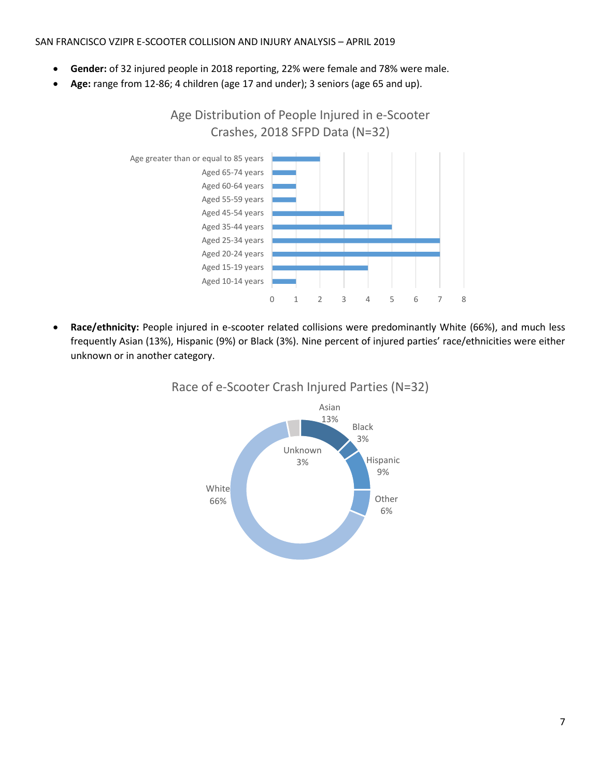#### SAN FRANCISCO VZIPR E-SCOOTER COLLISION AND INJURY ANALYSIS – APRIL 2019

- **Gender:** of 32 injured people in 2018 reporting, 22% were female and 78% were male.
- **Age:** range from 12-86; 4 children (age 17 and under); 3 seniors (age 65 and up).



 **Race/ethnicity:** People injured in e-scooter related collisions were predominantly White (66%), and much less frequently Asian (13%), Hispanic (9%) or Black (3%). Nine percent of injured parties' race/ethnicities were either unknown or in another category.



## Race of e-Scooter Crash Injured Parties (N=32)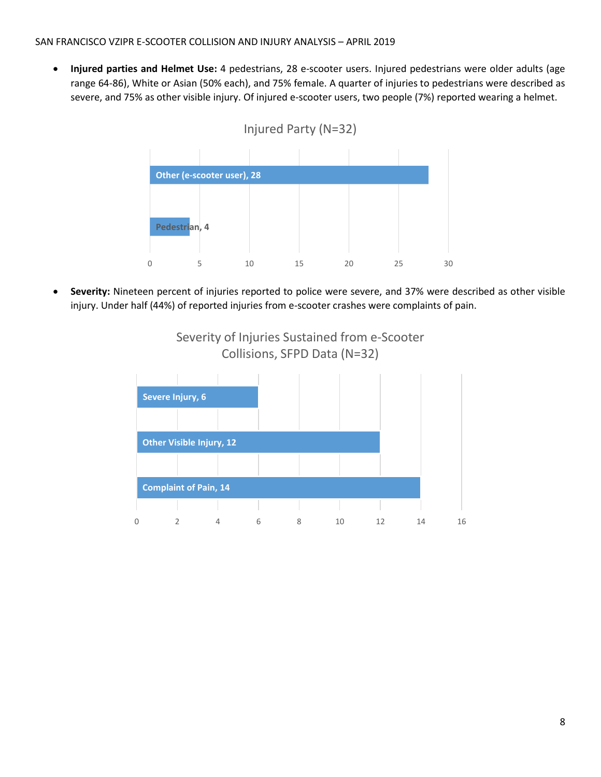**Injured parties and Helmet Use:** 4 pedestrians, 28 e-scooter users. Injured pedestrians were older adults (age range 64-86), White or Asian (50% each), and 75% female. A quarter of injuries to pedestrians were described as severe, and 75% as other visible injury. Of injured e-scooter users, two people (7%) reported wearing a helmet.





 **Severity:** Nineteen percent of injuries reported to police were severe, and 37% were described as other visible injury. Under half (44%) of reported injuries from e-scooter crashes were complaints of pain.



Severity of Injuries Sustained from e-Scooter Collisions, SFPD Data (N=32)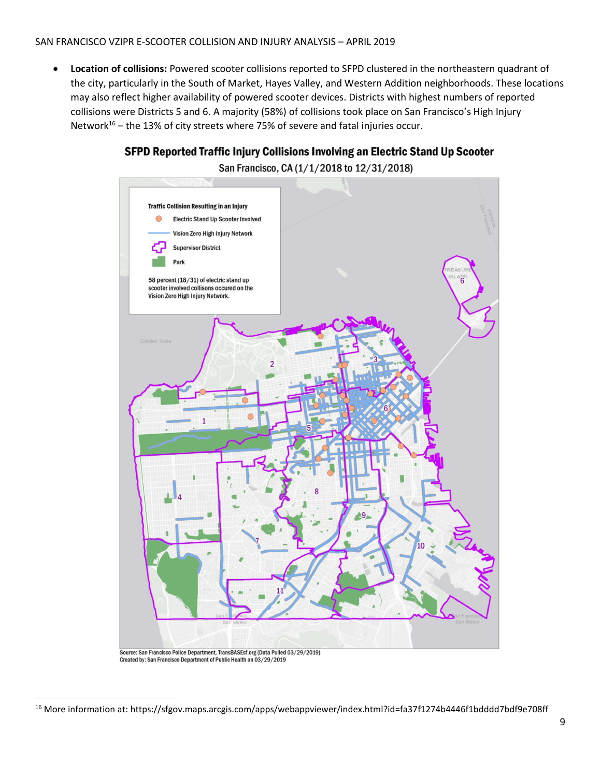#### SAN FRANCISCO VZIPR E-SCOOTER COLLISION AND INJURY ANALYSIS – APRIL 2019

 **Location of collisions:** Powered scooter collisions reported to SFPD clustered in the northeastern quadrant of the city, particularly in the South of Market, Hayes Valley, and Western Addition neighborhoods. These locations may also reflect higher availability of powered scooter devices. Districts with highest numbers of reported collisions were Districts 5 and 6. A majority (58%) of collisions took place on San Francisco's High Injury Network<sup>16</sup> – the 13% of city streets where 75% of severe and fatal injuries occur.





l

<sup>16</sup> More information at: https://sfgov.maps.arcgis.com/apps/webappviewer/index.html?id=fa37f1274b4446f1bdddd7bdf9e708ff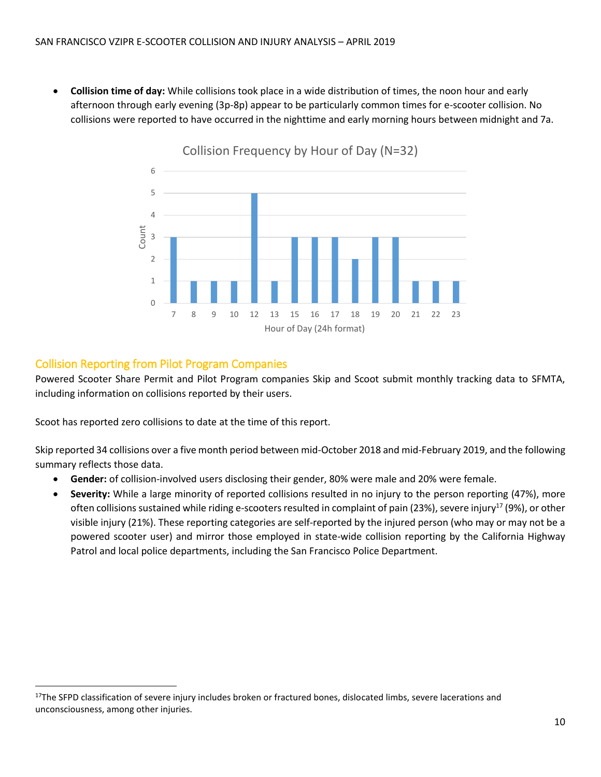**Collision time of day:** While collisions took place in a wide distribution of times, the noon hour and early afternoon through early evening (3p-8p) appear to be particularly common times for e-scooter collision. No collisions were reported to have occurred in the nighttime and early morning hours between midnight and 7a.



Collision Reporting from Pilot Program Companies

 $\overline{\phantom{a}}$ 

Powered Scooter Share Permit and Pilot Program companies Skip and Scoot submit monthly tracking data to SFMTA, including information on collisions reported by their users.

Scoot has reported zero collisions to date at the time of this report.

Skip reported 34 collisions over a five month period between mid-October 2018 and mid-February 2019, and the following summary reflects those data.

- **Gender:** of collision-involved users disclosing their gender, 80% were male and 20% were female.
- **Severity:** While a large minority of reported collisions resulted in no injury to the person reporting (47%), more often collisions sustained while riding e-scooters resulted in complaint of pain (23%), severe injury<sup>17</sup> (9%), or other visible injury (21%). These reporting categories are self-reported by the injured person (who may or may not be a powered scooter user) and mirror those employed in state-wide collision reporting by the California Highway Patrol and local police departments, including the San Francisco Police Department.

<sup>&</sup>lt;sup>17</sup>The SFPD classification of severe injury includes broken or fractured bones, dislocated limbs, severe lacerations and unconsciousness, among other injuries.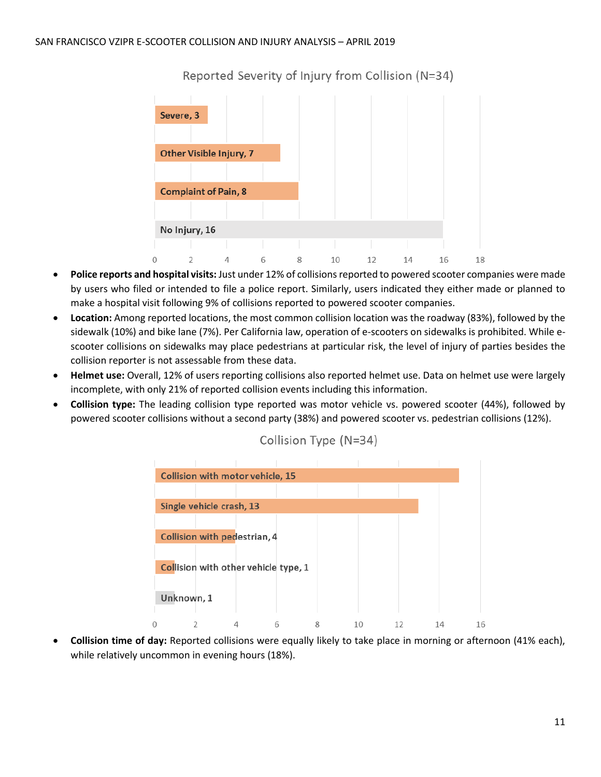

Reported Severity of Injury from Collision (N=34)

- **Police reports and hospital visits:** Just under 12% of collisions reported to powered scooter companies were made by users who filed or intended to file a police report. Similarly, users indicated they either made or planned to make a hospital visit following 9% of collisions reported to powered scooter companies.
- **Location:** Among reported locations, the most common collision location was the roadway (83%), followed by the sidewalk (10%) and bike lane (7%). Per California law, operation of e-scooters on sidewalks is prohibited. While escooter collisions on sidewalks may place pedestrians at particular risk, the level of injury of parties besides the collision reporter is not assessable from these data.
- **Helmet use:** Overall, 12% of users reporting collisions also reported helmet use. Data on helmet use were largely incomplete, with only 21% of reported collision events including this information.
- **Collision type:** The leading collision type reported was motor vehicle vs. powered scooter (44%), followed by powered scooter collisions without a second party (38%) and powered scooter vs. pedestrian collisions (12%).

| Collision with motor vehicle, 15     |  |   |    |    |    |    |
|--------------------------------------|--|---|----|----|----|----|
|                                      |  |   |    |    |    |    |
| Single vehicle crash, 13             |  |   |    |    |    |    |
|                                      |  |   |    |    |    |    |
| Collision with pedestrian, 4         |  |   |    |    |    |    |
| Collision with other vehicle type, 1 |  |   |    |    |    |    |
| Unknown, 1                           |  |   |    |    |    |    |
|                                      |  | 8 | 10 | 12 | 14 | 16 |

Collision Type (N=34)

 **Collision time of day:** Reported collisions were equally likely to take place in morning or afternoon (41% each), while relatively uncommon in evening hours (18%).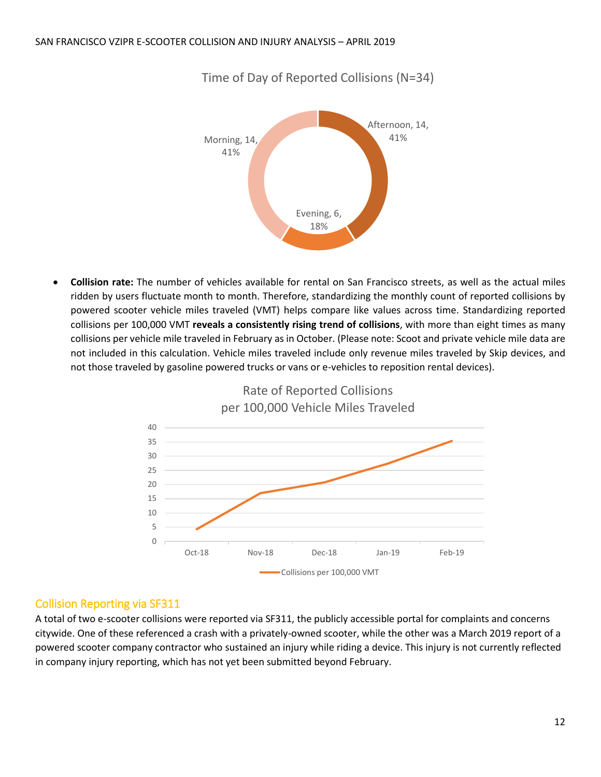

Time of Day of Reported Collisions (N=34)

 **Collision rate:** The number of vehicles available for rental on San Francisco streets, as well as the actual miles ridden by users fluctuate month to month. Therefore, standardizing the monthly count of reported collisions by powered scooter vehicle miles traveled (VMT) helps compare like values across time. Standardizing reported collisions per 100,000 VMT **reveals a consistently rising trend of collisions**, with more than eight times as many collisions per vehicle mile traveled in February as in October. (Please note: Scoot and private vehicle mile data are not included in this calculation. Vehicle miles traveled include only revenue miles traveled by Skip devices, and not those traveled by gasoline powered trucks or vans or e-vehicles to reposition rental devices).



## Rate of Reported Collisions per 100,000 Vehicle Miles Traveled

### Collision Reporting via SF311

A total of two e-scooter collisions were reported via SF311, the publicly accessible portal for complaints and concerns citywide. One of these referenced a crash with a privately-owned scooter, while the other was a March 2019 report of a powered scooter company contractor who sustained an injury while riding a device. This injury is not currently reflected in company injury reporting, which has not yet been submitted beyond February.